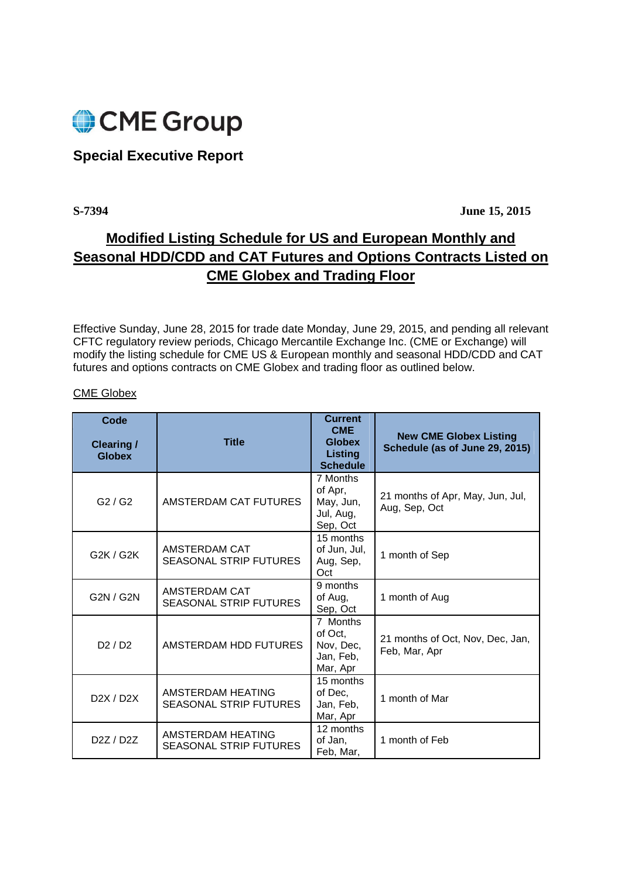

## **Special Executive Report**

**S-7394 June 15, 2015** 

## **Modified Listing Schedule for US and European Monthly and Seasonal HDD/CDD and CAT Futures and Options Contracts Listed on CME Globex and Trading Floor**

Effective Sunday, June 28, 2015 for trade date Monday, June 29, 2015, and pending all relevant CFTC regulatory review periods, Chicago Mercantile Exchange Inc. (CME or Exchange) will modify the listing schedule for CME US & European monthly and seasonal HDD/CDD and CAT futures and options contracts on CME Globex and trading floor as outlined below.

## CME Globex

| Code<br><b>Clearing /</b><br><b>Globex</b> | <b>Title</b>                                       | <b>Current</b><br><b>CME</b><br><b>Globex</b><br>Listing<br><b>Schedule</b> | <b>New CME Globex Listing</b><br>Schedule (as of June 29, 2015) |
|--------------------------------------------|----------------------------------------------------|-----------------------------------------------------------------------------|-----------------------------------------------------------------|
| G2/G2                                      | AMSTERDAM CAT FUTURES                              | 7 Months<br>of Apr,<br>May, Jun,<br>Jul, Aug,<br>Sep, Oct                   | 21 months of Apr, May, Jun, Jul,<br>Aug, Sep, Oct               |
| G2K / G2K                                  | AMSTERDAM CAT<br><b>SEASONAL STRIP FUTURES</b>     | 15 months<br>of Jun, Jul,<br>Aug, Sep,<br>Oct                               | 1 month of Sep                                                  |
| G2N / G2N                                  | AMSTERDAM CAT<br><b>SEASONAL STRIP FUTURES</b>     | 9 months<br>of Aug,<br>Sep, Oct                                             | 1 month of Aug                                                  |
| D2/D2                                      | AMSTERDAM HDD FUTURES                              | 7 Months<br>of Oct,<br>Nov, Dec,<br>Jan, Feb,<br>Mar, Apr                   | 21 months of Oct, Nov, Dec, Jan,<br>Feb, Mar, Apr               |
| D2X / D2X                                  | AMSTERDAM HEATING<br><b>SEASONAL STRIP FUTURES</b> | 15 months<br>of Dec,<br>Jan, Feb,<br>Mar, Apr                               | 1 month of Mar                                                  |
| D <sub>2</sub> Z / D <sub>2</sub> Z        | AMSTERDAM HEATING<br><b>SEASONAL STRIP FUTURES</b> | 12 months<br>of Jan,<br>Feb, Mar,                                           | 1 month of Feb                                                  |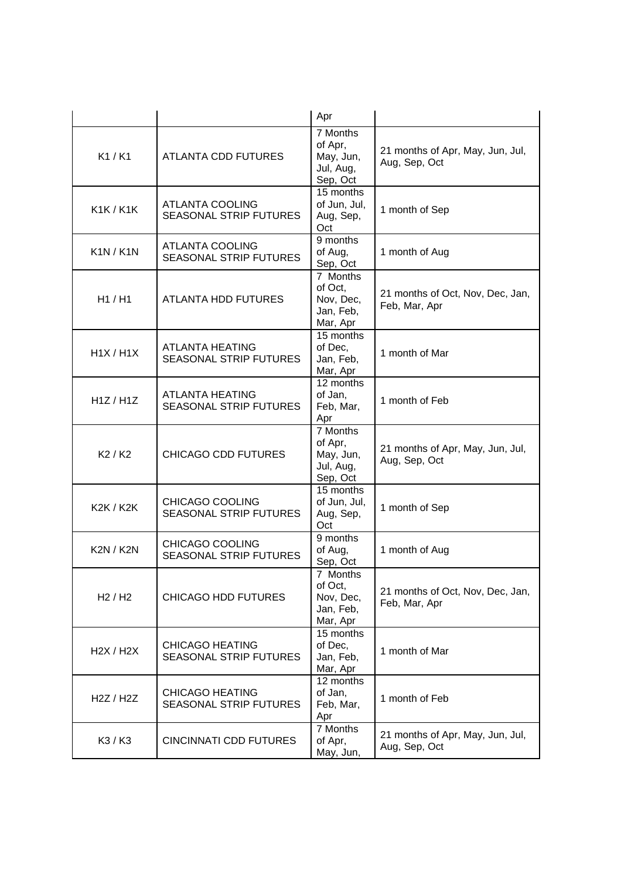|                  |                                                         | Apr                                                       |                                                   |
|------------------|---------------------------------------------------------|-----------------------------------------------------------|---------------------------------------------------|
| K1/K1            | <b>ATLANTA CDD FUTURES</b>                              | 7 Months<br>of Apr,<br>May, Jun,<br>Jul, Aug,<br>Sep, Oct | 21 months of Apr, May, Jun, Jul,<br>Aug, Sep, Oct |
| <b>K1K/K1K</b>   | <b>ATLANTA COOLING</b><br><b>SEASONAL STRIP FUTURES</b> | 15 months<br>of Jun, Jul,<br>Aug, Sep,<br>Oct             | 1 month of Sep                                    |
| K1N/K1N          | ATLANTA COOLING<br><b>SEASONAL STRIP FUTURES</b>        | 9 months<br>of Aug,<br>Sep, Oct                           | 1 month of Aug                                    |
| H1 / H1          | <b>ATLANTA HDD FUTURES</b>                              | 7 Months<br>of Oct,<br>Nov, Dec,<br>Jan, Feb,<br>Mar, Apr | 21 months of Oct, Nov, Dec, Jan,<br>Feb, Mar, Apr |
| H1X/H1X          | <b>ATLANTA HEATING</b><br>SEASONAL STRIP FUTURES        | 15 months<br>of Dec,<br>Jan, Feb,<br>Mar, Apr             | 1 month of Mar                                    |
| H1Z/H1Z          | <b>ATLANTA HEATING</b><br><b>SEASONAL STRIP FUTURES</b> | 12 months<br>of Jan,<br>Feb, Mar,<br>Apr                  | 1 month of Feb                                    |
| K2/K2            | <b>CHICAGO CDD FUTURES</b>                              | 7 Months<br>of Apr,<br>May, Jun,<br>Jul, Aug,<br>Sep, Oct | 21 months of Apr, May, Jun, Jul,<br>Aug, Sep, Oct |
| <b>K2K / K2K</b> | CHICAGO COOLING<br><b>SEASONAL STRIP FUTURES</b>        | 15 months<br>of Jun, Jul,<br>Aug, Sep,<br>Oct             | 1 month of Sep                                    |
| <b>K2N / K2N</b> | CHICAGO COOLING<br><b>SEASONAL STRIP FUTURES</b>        | 9 months<br>of Aug,<br>Sep, Oct                           | 1 month of Aug                                    |
| H2/H2            | <b>CHICAGO HDD FUTURES</b>                              | 7 Months<br>of Oct,<br>Nov, Dec,<br>Jan, Feb,<br>Mar, Apr | 21 months of Oct, Nov, Dec, Jan,<br>Feb, Mar, Apr |
| H2X / H2X        | <b>CHICAGO HEATING</b><br><b>SEASONAL STRIP FUTURES</b> | 15 months<br>of Dec,<br>Jan, Feb,<br>Mar, Apr             | 1 month of Mar                                    |
| H2Z / H2Z        | <b>CHICAGO HEATING</b><br><b>SEASONAL STRIP FUTURES</b> | 12 months<br>of Jan,<br>Feb, Mar,<br>Apr                  | 1 month of Feb                                    |
| K3 / K3          | <b>CINCINNATI CDD FUTURES</b>                           | 7 Months<br>of Apr,<br>May, Jun,                          | 21 months of Apr, May, Jun, Jul,<br>Aug, Sep, Oct |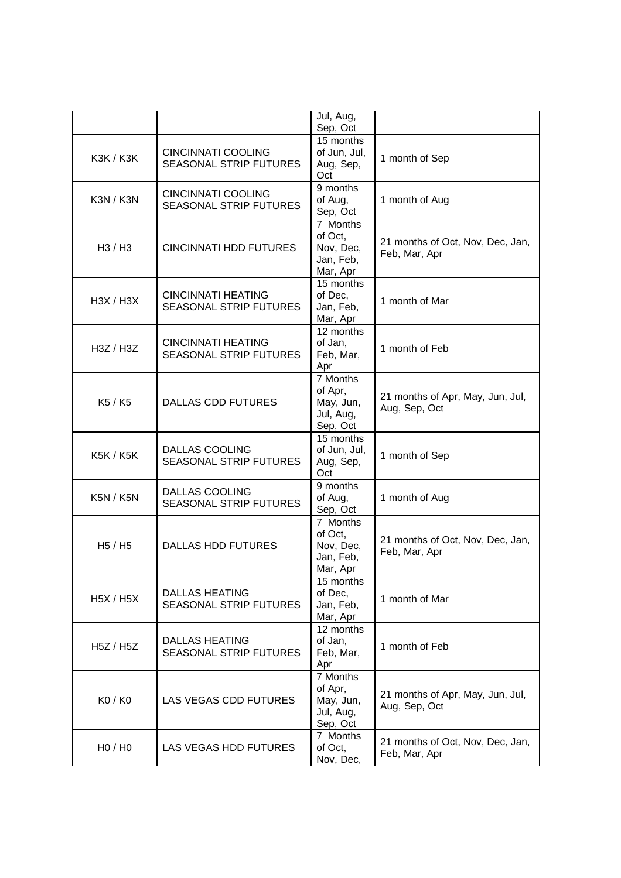|                                 |                                                            | Jul, Aug,<br>Sep, Oct                                     |                                                   |
|---------------------------------|------------------------------------------------------------|-----------------------------------------------------------|---------------------------------------------------|
| <b>K3K / K3K</b>                | CINCINNATI COOLING<br><b>SEASONAL STRIP FUTURES</b>        | 15 months<br>of Jun, Jul,<br>Aug, Sep,<br>Oct             | 1 month of Sep                                    |
| K3N / K3N                       | <b>CINCINNATI COOLING</b><br><b>SEASONAL STRIP FUTURES</b> | 9 months<br>of Aug,<br>Sep, Oct                           | 1 month of Aug                                    |
| H <sub>3</sub> / H <sub>3</sub> | <b>CINCINNATI HDD FUTURES</b>                              | 7 Months<br>of Oct,<br>Nov, Dec,<br>Jan, Feb,<br>Mar, Apr | 21 months of Oct, Nov, Dec, Jan,<br>Feb, Mar, Apr |
| H3X / H3X                       | <b>CINCINNATI HEATING</b><br><b>SEASONAL STRIP FUTURES</b> | 15 months<br>of Dec,<br>Jan, Feb,<br>Mar, Apr             | 1 month of Mar                                    |
| H3Z / H3Z                       | <b>CINCINNATI HEATING</b><br><b>SEASONAL STRIP FUTURES</b> | 12 months<br>of Jan,<br>Feb, Mar,<br>Apr                  | 1 month of Feb                                    |
| K <sub>5</sub> / K <sub>5</sub> | <b>DALLAS CDD FUTURES</b>                                  | 7 Months<br>of Apr,<br>May, Jun,<br>Jul, Aug,<br>Sep, Oct | 21 months of Apr, May, Jun, Jul,<br>Aug, Sep, Oct |
| <b>K5K / K5K</b>                | <b>DALLAS COOLING</b><br><b>SEASONAL STRIP FUTURES</b>     | 15 months<br>of Jun, Jul,<br>Aug, Sep,<br>Oct             | 1 month of Sep                                    |
| <b>K5N / K5N</b>                | <b>DALLAS COOLING</b><br><b>SEASONAL STRIP FUTURES</b>     | 9 months<br>of Aug,<br>Sep, Oct                           | 1 month of Aug                                    |
| H <sub>5</sub> / H <sub>5</sub> | <b>DALLAS HDD FUTURES</b>                                  | 7 Months<br>of Oct,<br>Nov, Dec,<br>Jan, Feb,<br>Mar, Apr | 21 months of Oct, Nov, Dec, Jan,<br>Feb, Mar, Apr |
| <b>H5X / H5X</b>                | <b>DALLAS HEATING</b><br><b>SEASONAL STRIP FUTURES</b>     | 15 months<br>of Dec,<br>Jan, Feb,<br>Mar, Apr             | 1 month of Mar                                    |
| H5Z / H5Z                       | <b>DALLAS HEATING</b><br><b>SEASONAL STRIP FUTURES</b>     | 12 months<br>of Jan,<br>Feb, Mar,<br>Apr                  | 1 month of Feb                                    |
| K0 / K0                         | LAS VEGAS CDD FUTURES                                      | 7 Months<br>of Apr,<br>May, Jun,<br>Jul, Aug,<br>Sep, Oct | 21 months of Apr, May, Jun, Jul,<br>Aug, Sep, Oct |
| H <sub>0</sub> / H <sub>0</sub> | LAS VEGAS HDD FUTURES                                      | 7 Months<br>of Oct,<br>Nov, Dec,                          | 21 months of Oct, Nov, Dec, Jan,<br>Feb, Mar, Apr |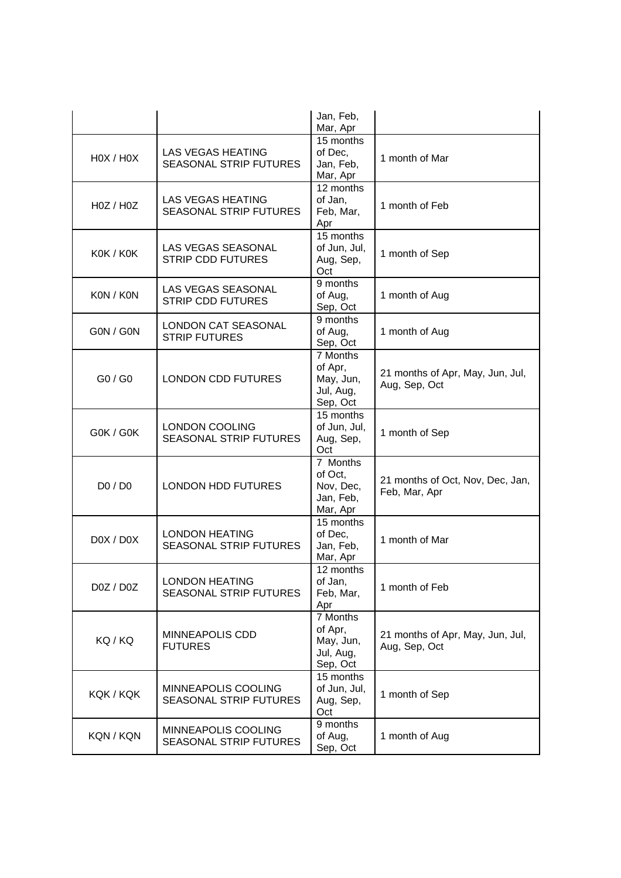|           |                                                             | Jan, Feb,<br>Mar, Apr                                     |                                                   |
|-----------|-------------------------------------------------------------|-----------------------------------------------------------|---------------------------------------------------|
| HOX / HOX | LAS VEGAS HEATING<br><b>SEASONAL STRIP FUTURES</b>          | 15 months<br>of Dec,<br>Jan, Feb,<br>Mar, Apr             | 1 month of Mar                                    |
| H0Z / H0Z | <b>LAS VEGAS HEATING</b><br><b>SEASONAL STRIP FUTURES</b>   | 12 months<br>of Jan,<br>Feb, Mar,<br>Apr                  | 1 month of Feb                                    |
| KOK / KOK | <b>LAS VEGAS SEASONAL</b><br><b>STRIP CDD FUTURES</b>       | 15 months<br>of Jun, Jul,<br>Aug, Sep,<br>Oct             | 1 month of Sep                                    |
| KON / KON | <b>LAS VEGAS SEASONAL</b><br><b>STRIP CDD FUTURES</b>       | 9 months<br>of Aug,<br>Sep, Oct                           | 1 month of Aug                                    |
| G0N / G0N | <b>LONDON CAT SEASONAL</b><br><b>STRIP FUTURES</b>          | 9 months<br>of Aug,<br>Sep, Oct                           | 1 month of Aug                                    |
| GO / GO   | <b>LONDON CDD FUTURES</b>                                   | 7 Months<br>of Apr,<br>May, Jun,<br>Jul, Aug,<br>Sep, Oct | 21 months of Apr, May, Jun, Jul,<br>Aug, Sep, Oct |
| G0K / G0K | <b>LONDON COOLING</b><br><b>SEASONAL STRIP FUTURES</b>      | 15 months<br>of Jun, Jul,<br>Aug, Sep,<br>Oct             | 1 month of Sep                                    |
| D0 / D0   | <b>LONDON HDD FUTURES</b>                                   | 7 Months<br>of Oct,<br>Nov, Dec,<br>Jan, Feb,<br>Mar, Apr | 21 months of Oct, Nov, Dec, Jan,<br>Feb, Mar, Apr |
| D0X / D0X | <b>LONDON HEATING</b><br><b>SEASONAL STRIP FUTURES</b>      | 15 months<br>of Dec.<br>Jan, Feb,<br>Mar, Apr             | 1 month of Mar                                    |
| D0Z / D0Z | <b>LONDON HEATING</b><br><b>SEASONAL STRIP FUTURES</b>      | 12 months<br>of Jan,<br>Feb, Mar,<br>Apr                  | 1 month of Feb                                    |
| KQ/KQ     | MINNEAPOLIS CDD<br><b>FUTURES</b>                           | 7 Months<br>of Apr,<br>May, Jun,<br>Jul, Aug,<br>Sep, Oct | 21 months of Apr, May, Jun, Jul,<br>Aug, Sep, Oct |
| KQK / KQK | <b>MINNEAPOLIS COOLING</b><br><b>SEASONAL STRIP FUTURES</b> | 15 months<br>of Jun, Jul,<br>Aug, Sep,<br>Oct             | 1 month of Sep                                    |
| KQN / KQN | MINNEAPOLIS COOLING<br><b>SEASONAL STRIP FUTURES</b>        | 9 months<br>of Aug,<br>Sep, Oct                           | 1 month of Aug                                    |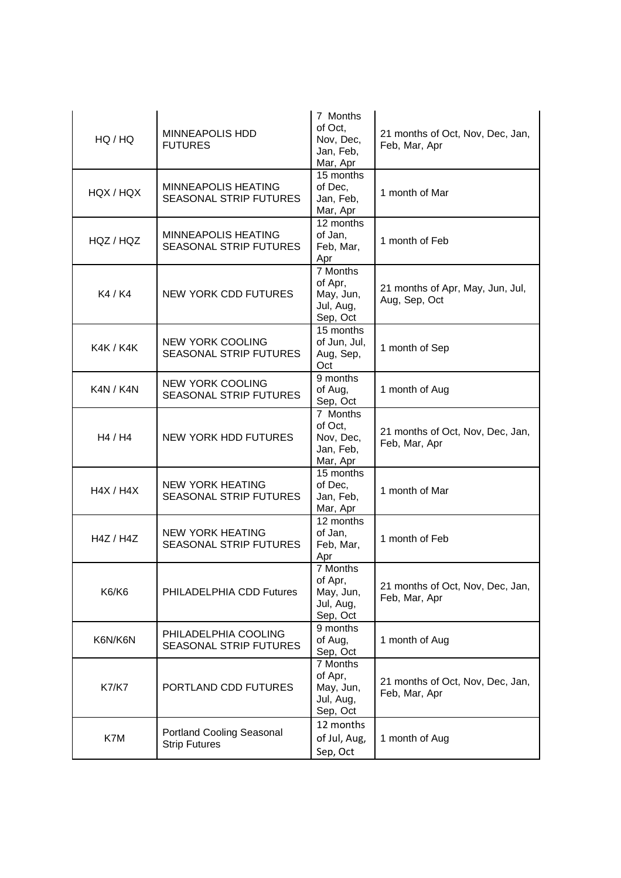| HQ / HQ          | <b>MINNEAPOLIS HDD</b><br><b>FUTURES</b>                    | 7 Months<br>of Oct.<br>Nov, Dec,<br>Jan, Feb,<br>Mar, Apr              | 21 months of Oct, Nov, Dec, Jan,<br>Feb, Mar, Apr |  |
|------------------|-------------------------------------------------------------|------------------------------------------------------------------------|---------------------------------------------------|--|
| HQX / HQX        | <b>MINNEAPOLIS HEATING</b><br><b>SEASONAL STRIP FUTURES</b> | 15 months<br>of Dec,<br>Jan, Feb,<br>Mar, Apr                          | 1 month of Mar                                    |  |
| HQZ / HQZ        | <b>MINNEAPOLIS HEATING</b><br><b>SEASONAL STRIP FUTURES</b> | 12 months<br>of Jan,<br>Feb, Mar,<br>Apr                               | 1 month of Feb                                    |  |
| K4 / K4          | <b>NEW YORK CDD FUTURES</b>                                 | 7 Months<br>of Apr,<br>May, Jun,<br>Jul, Aug,<br>Sep, Oct              | 21 months of Apr, May, Jun, Jul,<br>Aug, Sep, Oct |  |
| <b>K4K / K4K</b> | <b>NEW YORK COOLING</b><br><b>SEASONAL STRIP FUTURES</b>    | 15 months<br>of Jun, Jul,<br>Aug, Sep,<br>Oct                          | 1 month of Sep                                    |  |
| K4N / K4N        | <b>NEW YORK COOLING</b><br><b>SEASONAL STRIP FUTURES</b>    | 9 months<br>of Aug,<br>Sep, Oct                                        | 1 month of Aug                                    |  |
| H4 / H4          | <b>NEW YORK HDD FUTURES</b>                                 | 7 Months<br>of Oct,<br>Nov, Dec,<br>Jan, Feb,<br>Mar, Apr              | 21 months of Oct, Nov, Dec, Jan,<br>Feb, Mar, Apr |  |
| H4X / H4X        | <b>NEW YORK HEATING</b><br><b>SEASONAL STRIP FUTURES</b>    | 15 months<br>of Dec,<br>Jan, Feb,<br>Mar, Apr                          | 1 month of Mar                                    |  |
| H4Z / H4Z        | <b>NEW YORK HEATING</b><br><b>SEASONAL STRIP FUTURES</b>    | 12 months<br>of Jan,<br>Feb, Mar,<br>Apr                               | 1 month of Feb                                    |  |
| <b>K6/K6</b>     | PHILADELPHIA CDD Futures                                    | 7 Months<br>of Apr,<br>May, Jun,<br>Jul, Aug,<br>Sep, Oct              | 21 months of Oct, Nov, Dec, Jan,<br>Feb, Mar, Apr |  |
| K6N/K6N          | PHILADELPHIA COOLING<br><b>SEASONAL STRIP FUTURES</b>       | 9 months<br>of Aug,<br>Sep, Oct                                        | 1 month of Aug                                    |  |
| <b>K7/K7</b>     | PORTLAND CDD FUTURES                                        | $\overline{7}$ Months<br>of Apr,<br>May, Jun,<br>Jul, Aug,<br>Sep, Oct | 21 months of Oct, Nov, Dec, Jan,<br>Feb, Mar, Apr |  |
| K7M              | Portland Cooling Seasonal<br><b>Strip Futures</b>           | 12 months<br>of Jul, Aug,<br>Sep, Oct                                  | 1 month of Aug                                    |  |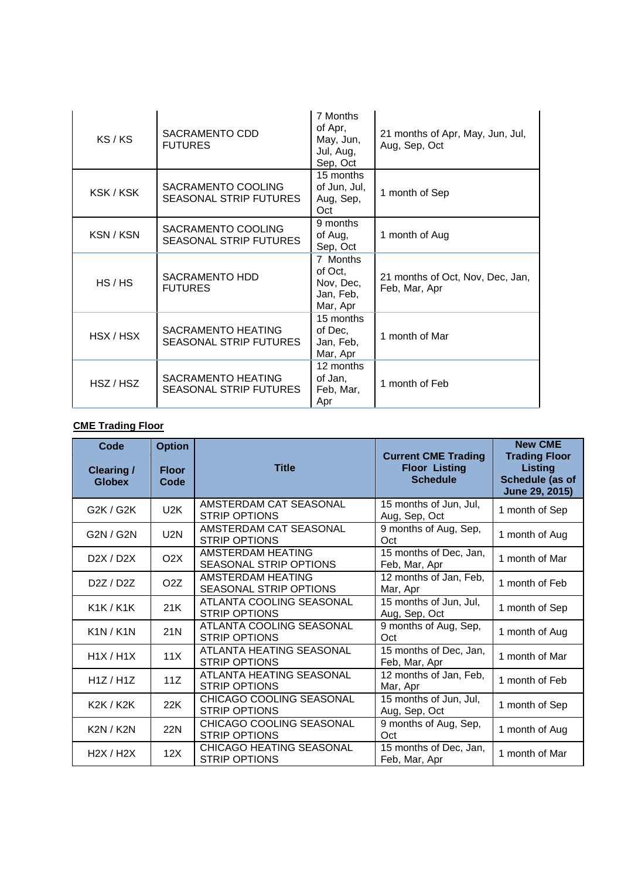| KS/KS     | SACRAMENTO CDD<br><b>FUTURES</b>                           | 7 Months<br>of Apr,<br>May, Jun,<br>Jul, Aug,<br>Sep, Oct | 21 months of Apr, May, Jun, Jul,<br>Aug, Sep, Oct |
|-----------|------------------------------------------------------------|-----------------------------------------------------------|---------------------------------------------------|
| KSK/KSK   | SACRAMENTO COOLING<br><b>SEASONAL STRIP FUTURES</b>        | 15 months<br>of Jun, Jul,<br>Aug, Sep,<br>Oct             | 1 month of Sep                                    |
| KSN / KSN | SACRAMENTO COOLING<br><b>SEASONAL STRIP FUTURES</b>        | 9 months<br>of Aug,<br>Sep, Oct                           | 1 month of Aug                                    |
| HS/HS     | <b>SACRAMENTO HDD</b><br><b>FUTURES</b>                    | 7 Months<br>of Oct,<br>Nov, Dec,<br>Jan, Feb,<br>Mar, Apr | 21 months of Oct, Nov, Dec, Jan,<br>Feb, Mar, Apr |
| HSX / HSX | <b>SACRAMENTO HEATING</b><br><b>SEASONAL STRIP FUTURES</b> | 15 months<br>of Dec,<br>Jan, Feb,<br>Mar, Apr             | 1 month of Mar                                    |
| HSZ / HSZ | <b>SACRAMENTO HEATING</b><br><b>SEASONAL STRIP FUTURES</b> | 12 months<br>of Jan,<br>Feb, Mar,<br>Apr                  | 1 month of Feb                                    |

## **CME Trading Floor**

| Code<br><b>Clearing /</b><br><b>Globex</b> | <b>Option</b><br><b>Floor</b><br>Code | <b>Title</b>                                            | <b>Current CME Trading</b><br><b>Floor Listing</b><br><b>Schedule</b> | <b>New CME</b><br><b>Trading Floor</b><br><b>Listing</b><br>Schedule (as of<br>June 29, 2015) |
|--------------------------------------------|---------------------------------------|---------------------------------------------------------|-----------------------------------------------------------------------|-----------------------------------------------------------------------------------------------|
| G2K / G2K                                  | U <sub>2</sub> K                      | AMSTERDAM CAT SEASONAL<br><b>STRIP OPTIONS</b>          | 15 months of Jun, Jul,<br>Aug, Sep, Oct                               | 1 month of Sep                                                                                |
| G2N / G2N                                  | U2N                                   | AMSTERDAM CAT SEASONAL<br><b>STRIP OPTIONS</b>          | 9 months of Aug, Sep,<br>Oct                                          | 1 month of Aug                                                                                |
| D2X / D2X                                  | O <sub>2</sub> X                      | AMSTERDAM HEATING<br>SEASONAL STRIP OPTIONS             | 15 months of Dec, Jan,<br>Feb, Mar, Apr                               | 1 month of Mar                                                                                |
| D <sub>2</sub> Z / D <sub>2</sub> Z        | O <sub>2</sub> Z                      | AMSTERDAM HEATING<br><b>SEASONAL STRIP OPTIONS</b>      | 12 months of Jan, Feb,<br>Mar, Apr                                    | 1 month of Feb                                                                                |
| <b>K1K/K1K</b>                             | 21K                                   | ATLANTA COOLING SEASONAL<br><b>STRIP OPTIONS</b>        | 15 months of Jun, Jul,<br>Aug, Sep, Oct                               | 1 month of Sep                                                                                |
| K1N/K1N                                    | 21N                                   | ATLANTA COOLING SEASONAL<br><b>STRIP OPTIONS</b>        | 9 months of Aug, Sep,<br>Oct                                          | 1 month of Aug                                                                                |
| H1X/H1X                                    | 11X                                   | ATLANTA HEATING SEASONAL<br><b>STRIP OPTIONS</b>        | 15 months of Dec, Jan,<br>Feb, Mar, Apr                               | 1 month of Mar                                                                                |
| H1Z/H1Z                                    | 11Z                                   | ATLANTA HEATING SEASONAL<br><b>STRIP OPTIONS</b>        | 12 months of Jan, Feb,<br>Mar, Apr                                    | 1 month of Feb                                                                                |
| <b>K2K / K2K</b>                           | 22K                                   | CHICAGO COOLING SEASONAL<br><b>STRIP OPTIONS</b>        | 15 months of Jun, Jul,<br>Aug, Sep, Oct                               | 1 month of Sep                                                                                |
| <b>K2N / K2N</b>                           | <b>22N</b>                            | CHICAGO COOLING SEASONAL<br><b>STRIP OPTIONS</b>        | 9 months of Aug, Sep,<br>Oct                                          | 1 month of Aug                                                                                |
| H2X / H2X                                  | 12X                                   | <b>CHICAGO HEATING SEASONAL</b><br><b>STRIP OPTIONS</b> | 15 months of Dec, Jan,<br>Feb, Mar, Apr                               | 1 month of Mar                                                                                |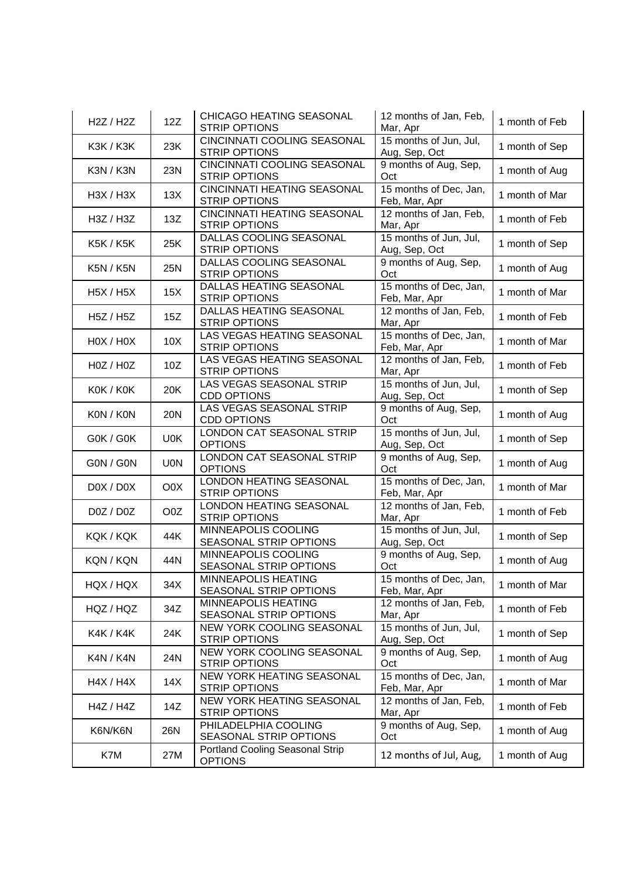| H2Z / H2Z        | 12Z        | CHICAGO HEATING SEASONAL<br><b>STRIP OPTIONS</b>           | 12 months of Jan, Feb,<br>Mar, Apr      | 1 month of Feb |
|------------------|------------|------------------------------------------------------------|-----------------------------------------|----------------|
| <b>K3K / K3K</b> | 23K        | CINCINNATI COOLING SEASONAL<br><b>STRIP OPTIONS</b>        | 15 months of Jun, Jul,<br>Aug, Sep, Oct | 1 month of Sep |
| K3N / K3N        | 23N        | <b>CINCINNATI COOLING SEASONAL</b><br><b>STRIP OPTIONS</b> | 9 months of Aug, Sep,<br>Oct            | 1 month of Aug |
| H3X / H3X        | 13X        | <b>CINCINNATI HEATING SEASONAL</b><br><b>STRIP OPTIONS</b> | 15 months of Dec, Jan,<br>Feb, Mar, Apr | 1 month of Mar |
| H3Z / H3Z        | 13Z        | <b>CINCINNATI HEATING SEASONAL</b><br><b>STRIP OPTIONS</b> | 12 months of Jan, Feb,<br>Mar, Apr      | 1 month of Feb |
| <b>K5K / K5K</b> | 25K        | DALLAS COOLING SEASONAL<br><b>STRIP OPTIONS</b>            | 15 months of Jun, Jul,<br>Aug, Sep, Oct | 1 month of Sep |
| <b>K5N / K5N</b> | 25N        | DALLAS COOLING SEASONAL<br><b>STRIP OPTIONS</b>            | 9 months of Aug, Sep,<br>Oct            | 1 month of Aug |
| <b>H5X / H5X</b> | 15X        | DALLAS HEATING SEASONAL<br><b>STRIP OPTIONS</b>            | 15 months of Dec, Jan,<br>Feb, Mar, Apr | 1 month of Mar |
| H5Z / H5Z        | 15Z        | DALLAS HEATING SEASONAL<br><b>STRIP OPTIONS</b>            | 12 months of Jan, Feb,<br>Mar, Apr      | 1 month of Feb |
| HOX / HOX        | 10X        | LAS VEGAS HEATING SEASONAL<br><b>STRIP OPTIONS</b>         | 15 months of Dec, Jan,<br>Feb, Mar, Apr | 1 month of Mar |
| H0Z / H0Z        | 10Z        | LAS VEGAS HEATING SEASONAL<br><b>STRIP OPTIONS</b>         | 12 months of Jan, Feb,<br>Mar, Apr      | 1 month of Feb |
| KOK / KOK        | 20K        | LAS VEGAS SEASONAL STRIP<br><b>CDD OPTIONS</b>             | 15 months of Jun, Jul,<br>Aug, Sep, Oct | 1 month of Sep |
| KON / KON        | <b>20N</b> | LAS VEGAS SEASONAL STRIP<br><b>CDD OPTIONS</b>             | 9 months of Aug, Sep,<br>Oct            | 1 month of Aug |
| G0K / G0K        | U0K        | LONDON CAT SEASONAL STRIP<br><b>OPTIONS</b>                | 15 months of Jun, Jul,<br>Aug, Sep, Oct | 1 month of Sep |
| G0N / G0N        | <b>UON</b> | LONDON CAT SEASONAL STRIP<br><b>OPTIONS</b>                | 9 months of Aug, Sep,<br>Oct            | 1 month of Aug |
| DOX / DOX        | O0X        | LONDON HEATING SEASONAL<br><b>STRIP OPTIONS</b>            | 15 months of Dec, Jan,<br>Feb, Mar, Apr | 1 month of Mar |
| D0Z / D0Z        | O0Z        | LONDON HEATING SEASONAL<br><b>STRIP OPTIONS</b>            | 12 months of Jan, Feb,<br>Mar, Apr      | 1 month of Feb |
| KQK / KQK        | 44K        | MINNEAPOLIS COOLING<br>SEASONAL STRIP OPTIONS              | 15 months of Jun, Jul,<br>Aug, Sep, Oct | 1 month of Sep |
| KQN / KQN        | 44N        | MINNEAPOLIS COOLING<br>SEASONAL STRIP OPTIONS              | 9 months of Aug, Sep,<br>Oct            | 1 month of Aug |
| HQX / HQX        | 34X        | MINNEAPOLIS HEATING<br>SEASONAL STRIP OPTIONS              | 15 months of Dec, Jan,<br>Feb, Mar, Apr | 1 month of Mar |
| HQZ / HQZ        | 34Z        | MINNEAPOLIS HEATING<br>SEASONAL STRIP OPTIONS              | 12 months of Jan, Feb,<br>Mar, Apr      | 1 month of Feb |
| K4K / K4K        | 24K        | NEW YORK COOLING SEASONAL<br>STRIP OPTIONS                 | 15 months of Jun, Jul,<br>Aug, Sep, Oct | 1 month of Sep |
| K4N / K4N        | 24N        | NEW YORK COOLING SEASONAL<br><b>STRIP OPTIONS</b>          | 9 months of Aug, Sep,<br>Oct            | 1 month of Aug |
| H4X / H4X        | 14X        | NEW YORK HEATING SEASONAL<br><b>STRIP OPTIONS</b>          | 15 months of Dec, Jan,<br>Feb, Mar, Apr | 1 month of Mar |
| H4Z / H4Z        | 14Z        | NEW YORK HEATING SEASONAL<br><b>STRIP OPTIONS</b>          | 12 months of Jan, Feb,<br>Mar, Apr      | 1 month of Feb |
| K6N/K6N          | 26N        | PHILADELPHIA COOLING<br>SEASONAL STRIP OPTIONS             | 9 months of Aug, Sep,<br>Oct            | 1 month of Aug |
| K7M              | 27M        | Portland Cooling Seasonal Strip<br><b>OPTIONS</b>          | 12 months of Jul, Aug,                  | 1 month of Aug |